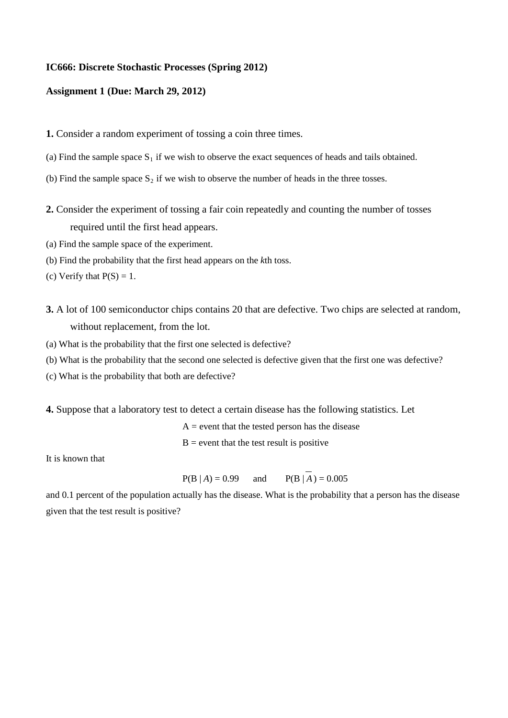## **IC666: Discrete Stochastic Processes (Spring 2012)**

## **Assignment 1 (Due: March 29, 2012)**

- **1.** Consider a random experiment of tossing a coin three times.
- (a) Find the sample space  $S_1$  if we wish to observe the exact sequences of heads and tails obtained.
- (b) Find the sample space  $S_2$  if we wish to observe the number of heads in the three tosses.
- **2.** Consider the experiment of tossing a fair coin repeatedly and counting the number of tosses required until the first head appears.
- (a) Find the sample space of the experiment.
- (b) Find the probability that the first head appears on the *k*th toss.
- (c) Verify that  $P(S) = 1$ .
- **3.** A lot of 100 semiconductor chips contains 20 that are defective. Two chips are selected at random, without replacement, from the lot.
- (a) What is the probability that the first one selected is defective?
- (b) What is the probability that the second one selected is defective given that the first one was defective?
- (c) What is the probability that both are defective?
- **4.** Suppose that a laboratory test to detect a certain disease has the following statistics. Let

 $A =$  event that the tested person has the disease

 $B =$  event that the test result is positive

It is known that

 $P(B | A) = 0.99$  and  $P(B | A) = 0.005$ 

and 0.1 percent of the population actually has the disease. What is the probability that a person has the disease given that the test result is positive?